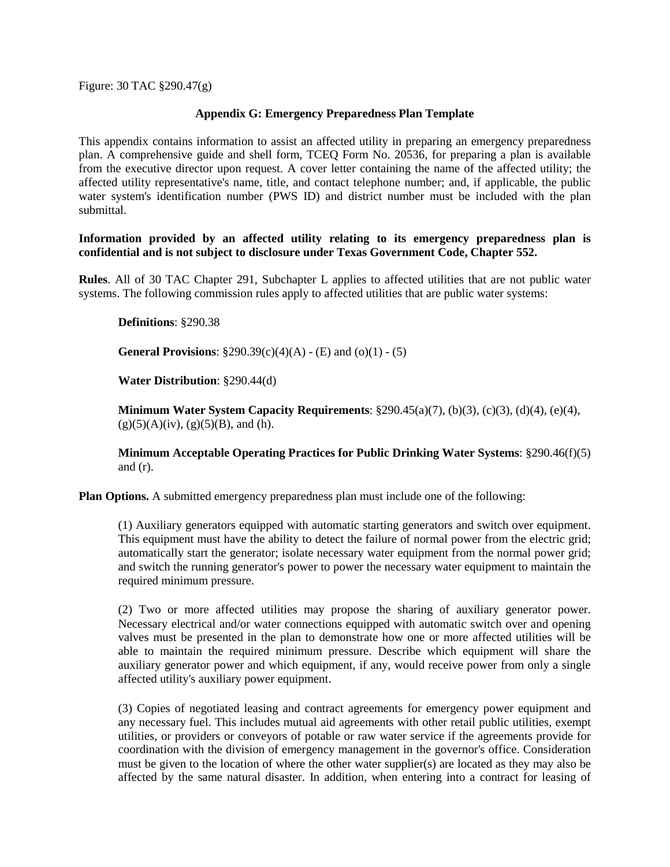Figure: 30 TAC §290.47(g)

## **Appendix G: Emergency Preparedness Plan Template**

This appendix contains information to assist an affected utility in preparing an emergency preparedness plan. A comprehensive guide and shell form, TCEQ Form No. 20536, for preparing a plan is available from the executive director upon request. A cover letter containing the name of the affected utility; the affected utility representative's name, title, and contact telephone number; and, if applicable, the public water system's identification number (PWS ID) and district number must be included with the plan submittal.

**Information provided by an affected utility relating to its emergency preparedness plan is confidential and is not subject to disclosure under Texas Government Code, Chapter 552.**

**Rules**. All of 30 TAC Chapter 291, Subchapter L applies to affected utilities that are not public water systems. The following commission rules apply to affected utilities that are public water systems:

**Definitions**: §290.38

**General Provisions**: §290.39(c)(4)(A) - (E) and (o)(1) - (5)

**Water Distribution**: §290.44(d)

**Minimum Water System Capacity Requirements**: §290.45(a)(7), (b)(3), (c)(3), (d)(4), (e)(4),  $(g)(5)(A)(iv)$ ,  $(g)(5)(B)$ , and (h).

**Minimum Acceptable Operating Practices for Public Drinking Water Systems**: §290.46(f)(5) and  $(r)$ .

**Plan Options.** A submitted emergency preparedness plan must include one of the following:

(1) Auxiliary generators equipped with automatic starting generators and switch over equipment. This equipment must have the ability to detect the failure of normal power from the electric grid; automatically start the generator; isolate necessary water equipment from the normal power grid; and switch the running generator's power to power the necessary water equipment to maintain the required minimum pressure.

(2) Two or more affected utilities may propose the sharing of auxiliary generator power. Necessary electrical and/or water connections equipped with automatic switch over and opening valves must be presented in the plan to demonstrate how one or more affected utilities will be able to maintain the required minimum pressure. Describe which equipment will share the auxiliary generator power and which equipment, if any, would receive power from only a single affected utility's auxiliary power equipment.

(3) Copies of negotiated leasing and contract agreements for emergency power equipment and any necessary fuel. This includes mutual aid agreements with other retail public utilities, exempt utilities, or providers or conveyors of potable or raw water service if the agreements provide for coordination with the division of emergency management in the governor's office. Consideration must be given to the location of where the other water supplier(s) are located as they may also be affected by the same natural disaster. In addition, when entering into a contract for leasing of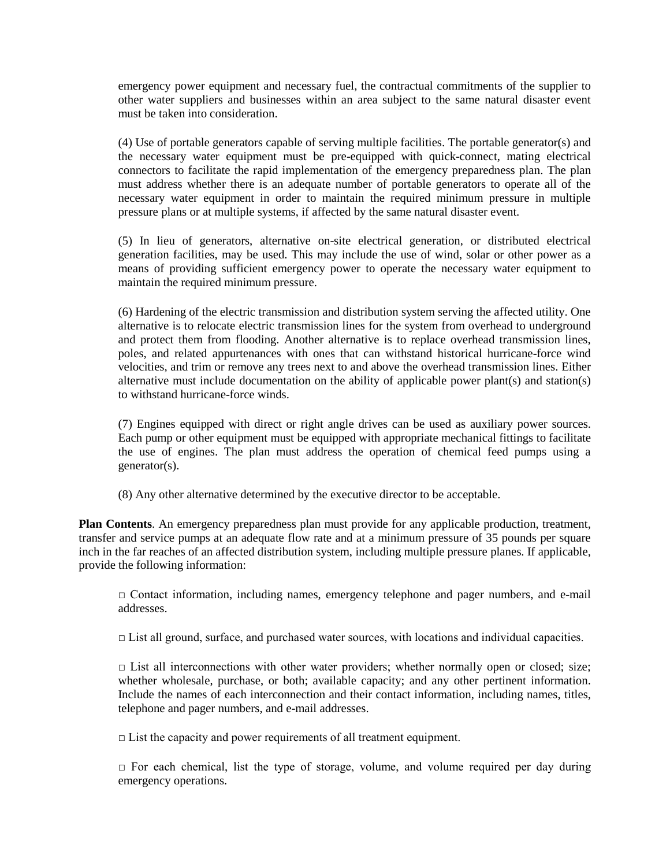emergency power equipment and necessary fuel, the contractual commitments of the supplier to other water suppliers and businesses within an area subject to the same natural disaster event must be taken into consideration.

(4) Use of portable generators capable of serving multiple facilities. The portable generator(s) and the necessary water equipment must be pre-equipped with quick-connect, mating electrical connectors to facilitate the rapid implementation of the emergency preparedness plan. The plan must address whether there is an adequate number of portable generators to operate all of the necessary water equipment in order to maintain the required minimum pressure in multiple pressure plans or at multiple systems, if affected by the same natural disaster event.

(5) In lieu of generators, alternative on-site electrical generation, or distributed electrical generation facilities, may be used. This may include the use of wind, solar or other power as a means of providing sufficient emergency power to operate the necessary water equipment to maintain the required minimum pressure.

(6) Hardening of the electric transmission and distribution system serving the affected utility. One alternative is to relocate electric transmission lines for the system from overhead to underground and protect them from flooding. Another alternative is to replace overhead transmission lines, poles, and related appurtenances with ones that can withstand historical hurricane-force wind velocities, and trim or remove any trees next to and above the overhead transmission lines. Either alternative must include documentation on the ability of applicable power plant(s) and station(s) to withstand hurricane-force winds.

(7) Engines equipped with direct or right angle drives can be used as auxiliary power sources. Each pump or other equipment must be equipped with appropriate mechanical fittings to facilitate the use of engines. The plan must address the operation of chemical feed pumps using a generator(s).

(8) Any other alternative determined by the executive director to be acceptable.

**Plan Contents**. An emergency preparedness plan must provide for any applicable production, treatment, transfer and service pumps at an adequate flow rate and at a minimum pressure of 35 pounds per square inch in the far reaches of an affected distribution system, including multiple pressure planes. If applicable, provide the following information:

 $\Box$  Contact information, including names, emergency telephone and pager numbers, and e-mail addresses.

 $\Box$  List all ground, surface, and purchased water sources, with locations and individual capacities.

 $\Box$  List all interconnections with other water providers; whether normally open or closed; size; whether wholesale, purchase, or both; available capacity; and any other pertinent information. Include the names of each interconnection and their contact information, including names, titles, telephone and pager numbers, and e-mail addresses.

 $\Box$  List the capacity and power requirements of all treatment equipment.

 $\Box$  For each chemical, list the type of storage, volume, and volume required per day during emergency operations.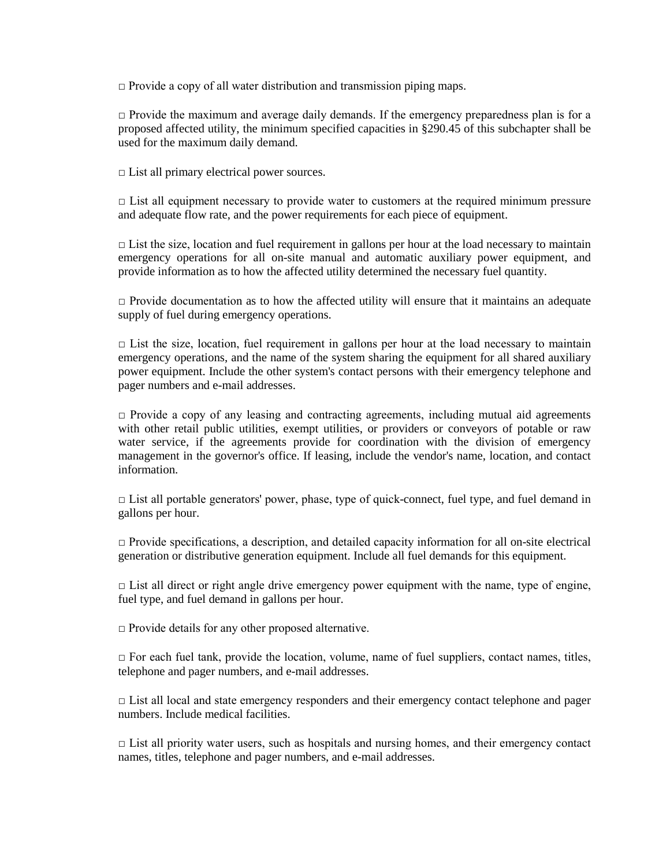$\Box$  Provide a copy of all water distribution and transmission piping maps.

 $\Box$  Provide the maximum and average daily demands. If the emergency preparedness plan is for a proposed affected utility, the minimum specified capacities in §290.45 of this subchapter shall be used for the maximum daily demand.

 $\Box$  List all primary electrical power sources.

 $\Box$  List all equipment necessary to provide water to customers at the required minimum pressure and adequate flow rate, and the power requirements for each piece of equipment.

 $\Box$  List the size, location and fuel requirement in gallons per hour at the load necessary to maintain emergency operations for all on-site manual and automatic auxiliary power equipment, and provide information as to how the affected utility determined the necessary fuel quantity.

 $\Box$  Provide documentation as to how the affected utility will ensure that it maintains an adequate supply of fuel during emergency operations.

 $\Box$  List the size, location, fuel requirement in gallons per hour at the load necessary to maintain emergency operations, and the name of the system sharing the equipment for all shared auxiliary power equipment. Include the other system's contact persons with their emergency telephone and pager numbers and e-mail addresses.

 $\Box$  Provide a copy of any leasing and contracting agreements, including mutual aid agreements with other retail public utilities, exempt utilities, or providers or conveyors of potable or raw water service, if the agreements provide for coordination with the division of emergency management in the governor's office. If leasing, include the vendor's name, location, and contact information.

 $\Box$  List all portable generators' power, phase, type of quick-connect, fuel type, and fuel demand in gallons per hour.

□ Provide specifications, a description, and detailed capacity information for all on-site electrical generation or distributive generation equipment. Include all fuel demands for this equipment.

 $\Box$  List all direct or right angle drive emergency power equipment with the name, type of engine, fuel type, and fuel demand in gallons per hour.

 $\Box$  Provide details for any other proposed alternative.

 $\Box$  For each fuel tank, provide the location, volume, name of fuel suppliers, contact names, titles, telephone and pager numbers, and e-mail addresses.

 $\Box$  List all local and state emergency responders and their emergency contact telephone and pager numbers. Include medical facilities.

 $\Box$  List all priority water users, such as hospitals and nursing homes, and their emergency contact names, titles, telephone and pager numbers, and e-mail addresses.